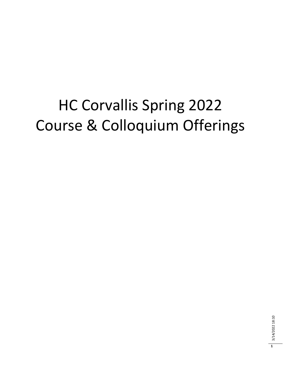# HC Corvallis Spring 2022 Course & Colloquium Offerings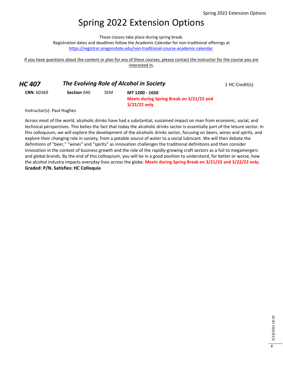# Spring 2022 Extension Options

These classes take place during spring break.

Registration dates and deadlines follow the Academic Calendar for non-traditional offerings at [https://registrar.oregonstate.edu/non-traditional-course-academic-calendar.](https://registrar.oregonstate.edu/non-traditional-course-academic-calendar)

If you have questions about the content or plan for any of these courses, please contact the instructor for the course you are interested in**.**

#### *HC 407* **The Evolving Role of Alcohol in Society 1 HC Credit(s)**

**CRN**: 60369 **Section** 040 SEM **MT 1200 - 1650 Meets during Spring Break on 3/21/22 and 3/22/22 only**

Instructor(s): Paul Hughes

Across most of the world, alcoholic drinks have had a substantial, sustained impact on man from economic, social, and technical perspectives. This belies the fact that today the alcoholic drinks sector is essentially part of the leisure sector. In this colloquium, we will explore the development of the alcoholic drinks sector, focusing on beers, wines and spirits, and explore their changing role in society, from a potable source of water to a social lubricant. We will then debate the definitions of "beer," "wines" and "spirits" as innovation challenges the traditional definitions and then consider innovation in the context of business growth and the role of the rapidly-growing craft sectors as a foil to megamergers and global brands. By the end of this colloquium, you will be in a good position to understand, for better or worse, how the alcohol industry impacts everyday lives across the globe. **Meets during Spring Break on 3/21/22 and 3/22/22 only. Graded: P/N. Satisfies: HC Colloquia**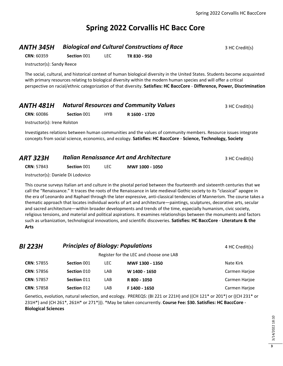# **Spring 2022 Corvallis HC Bacc Core**

#### **ANTH 345H Biological and Cultural Constructions of Race** 3 HC Credit(s)

**CRN**: 60359 **Section** 001 LEC **TR 830 - 950**

Instructor(s): Sandy Reece

The social, cultural, and historical context of human biological diversity in the United States. Students become acquainted with primary resources relating to biological diversity within the modern human species and will offer a critical perspective on racial/ethnic categorization of that diversity. **Satisfies: HC BaccCore** - **Difference, Power, Discrimination**

| ANTH 481H                    |             |      | <b>Natural Resources and Community Values</b> | 3 HC Credit(s) |
|------------------------------|-------------|------|-----------------------------------------------|----------------|
| <b>CRN: 60086</b>            | Section 001 | HYB. | R 1600 - 1720                                 |                |
| Instructor(s): Irene Rolston |             |      |                                               |                |

Investigates relations between human communities and the values of community members. Resource issues integrate concepts from social science, economics, and ecology. **Satisfies: HC BaccCore** - **Science, Technology, Society**

| ART 323H          | <b>Italian Renaissance Art and Architecture</b> |      |                 | 3 HC Credit(s) |
|-------------------|-------------------------------------------------|------|-----------------|----------------|
| <b>CRN: 57843</b> | Section 001                                     | TEC. | MWF 1000 - 1050 |                |
|                   | Instructor(s): Daniele Di Lodovico              |      |                 |                |

This course surveys Italian art and culture in the pivotal period between the fourteenth and sixteenth centuries that we call the "Renaissance." It traces the roots of the Renaissance in late medieval Gothic society to its "classical" apogee in the era of Leonardo and Raphael through the later expressive, anti-classical tendencies of Mannerism. The course takes a thematic approach that locates individual works of art and architecture—paintings, sculptures, decorative arts, secular and sacred architecture—within broader developments and trends of the time, especially humanism, civic society, religious tensions, and material and political aspirations. It examines relationships between the monuments and factors such as urbanization, technological innovations, and scientific discoveries. **Satisfies: HC BaccCore** - **Literature & the Arts**

| BI 223H           | <b>Principles of Biology: Populations</b> |            |                                         | 4 HC Credit(s) |
|-------------------|-------------------------------------------|------------|-----------------------------------------|----------------|
|                   |                                           |            | Register for the LEC and choose one LAB |                |
| <b>CRN: 57855</b> | Section 001                               | <b>LEC</b> | MWF 1300 - 1350                         | Nate Kirk      |
| <b>CRN: 57856</b> | Section 010                               | LAB        | W 1400 - 1650                           | Carmen Harjoe  |
| <b>CRN: 57857</b> | Section 011                               | LAB        | R 800 - 1050                            | Carmen Harjoe  |
| <b>CRN: 57858</b> | Section 012                               | LAB        | F 1400 - 1650                           | Carmen Harjoe  |

Genetics, evolution, natural selection, and ecology. PREREQS: (BI 221 or 221H) and ((CH 121\* or 201\*) or ((CH 231\* or 231H\*) and (CH 261\*, 261H\* or 271\*))). \*May be taken concurrently. **Course Fee: \$30. Satisfies: HC BaccCore** - **Biological Sciences**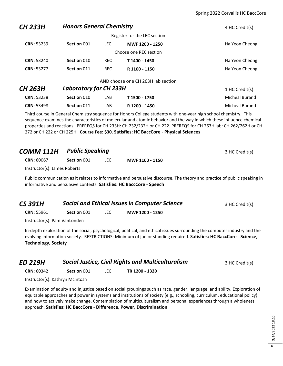| CH 233H           | <b>Honors General Chemistry</b> |            |                                    | 4 HC Credit(s)        |
|-------------------|---------------------------------|------------|------------------------------------|-----------------------|
|                   |                                 |            | Register for the LEC section       |                       |
| <b>CRN: 53239</b> | Section 001                     | LEC.       | MWF 1200 - 1250                    | Ha Yeon Cheong        |
|                   |                                 |            | Choose one REC section             |                       |
| <b>CRN: 53240</b> | Section 010                     | <b>REC</b> | T 1400 - 1450                      | Ha Yeon Cheong        |
| <b>CRN: 53277</b> | Section 011                     | <b>REC</b> | R 1100 - 1150                      | Ha Yeon Cheong        |
|                   |                                 |            | AND choose one CH 263H lab section |                       |
| CH 263H           | <b>Laboratory for CH 233H</b>   |            |                                    | 1 HC Credit(s)        |
| <b>CRN: 53238</b> | Section 010                     | LAB        | T 1500 - 1750                      | <b>Micheal Burand</b> |
| <b>CRN: 53498</b> | Section 011                     | LAB        | R 1200 - 1450                      | <b>Micheal Burand</b> |

Third course in General Chemistry sequence for Honors College students with one-year high school chemistry. This sequence examines the characteristics of molecular and atomic behavior and the way in which these influence chemical properties and reactions. PREREQS for CH 233H: CH 232/232H or CH 222. PREREQS for CH 263H lab: CH 262/262H or CH 272 or CH 222 or CH 225H. **Course Fee: \$30. Satisfies: HC BaccCore** - **Physical Sciences**

| <b>COMM 111H</b>             | <b>Public Speaking</b> |      |                 | 3 HC Credit(s) |
|------------------------------|------------------------|------|-----------------|----------------|
| <b>CRN: 60067</b>            | Section 001            | LEC. | MWF 1100 - 1150 |                |
| Instructor(s): James Roberts |                        |      |                 |                |

Public communication as it relates to informative and persuasive discourse. The theory and practice of public speaking in informative and persuasive contexts. **Satisfies: HC BaccCore** - **Speech**

| <b>CS 391H</b>    | <b>Social and Ethical Issues in Computer Science</b> |      | 3 HC Credit(s)  |  |
|-------------------|------------------------------------------------------|------|-----------------|--|
| <b>CRN: 55961</b> | Section 001                                          | TEC. | MWF 1200 - 1250 |  |

Instructor(s): Pam VanLonden

In-depth exploration of the social, psychological, political, and ethical issues surrounding the computer industry and the evolving information society. RESTRICTIONS: Minimum of junior standing required. **Satisfies: HC BaccCore** - **Science, Technology, Society**

| ED 219H           | <b>Social Justice, Civil Rights and Multiculturalism</b> |  | 3 HC Credit(s) |  |
|-------------------|----------------------------------------------------------|--|----------------|--|
| <b>CRN: 60342</b> | Section 001                                              |  | TR 1200 - 1320 |  |

Instructor(s): Kathryn McIntosh

Examination of equity and injustice based on social groupings such as race, gender, language, and ability. Exploration of equitable approaches and power in systems and institutions of society (e.g., schooling, curriculum, educational policy) and how to actively make change. Contemplation of multiculturalism and personal experiences through a wholeness approach. **Satisfies: HC BaccCore** - **Difference, Power, Discrimination**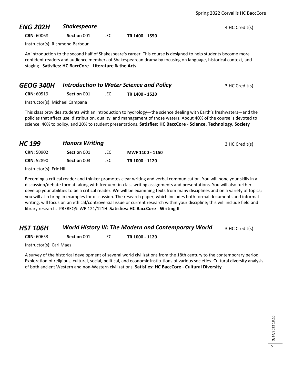#### *ENG 202H* **Shakespeare 4 HC Credit(s)**

**CRN**: 60068 **Section** 001 LEC **TR 1400 - 1550**

Instructor(s): Richmond Barbour

An introduction to the second half of Shakespeare's career. This course is designed to help students become more confident readers and audience members of Shakespearean drama by focusing on language, historical context, and staging. **Satisfies: HC BaccCore** - **Literature & the Arts**

#### **GEOG 340H Introduction to Water Science and Policy** 3 HC Credit(s)

**CRN**: 60519 **Section** 001 LEC **TR 1400 - 1520**

Instructor(s): Michael Campana

This class provides students with an introduction to hydrology—the science dealing with Earth's freshwaters—and the policies that affect use, distribution, quality, and management of those waters. About 40% of the course is devoted to science, 40% to policy, and 20% to student presentations. **Satisfies: HC BaccCore** - **Science, Technology, Society**

| HC 199            | <b>Honors Writing</b> |      |                 | 3 HC Credit(s) |
|-------------------|-----------------------|------|-----------------|----------------|
| <b>CRN: 50902</b> | Section 001           | LEC. | MWF 1100 - 1150 |                |
| <b>CRN: 52890</b> | Section 003           | LEC. | TR 1000 - 1120  |                |
| .                 |                       |      |                 |                |

Instructor(s): Eric Hill

Becoming a critical reader and thinker promotes clear writing and verbal communication. You will hone your skills in a discussion/debate format, along with frequent in-class writing assignments and presentations. You will also further develop your abilities to be a critical reader. We will be examining texts from many disciplines and on a variety of topics; you will also bring in examples for discussion. The research paper, which includes both formal documents and informal writing, will focus on an ethical/controversial issue or current research within your discipline; this will include field and library research. PREREQS: WR 121/121H. **Satisfies: HC BaccCore** - **Writing II**

#### **HST 106H** *World History III: The Modern and Contemporary World* 3 HC Credit(s)

**CRN**: 60653 **Section** 001 LEC **TR 1000 - 1120**

Instructor(s): Cari Maes

A survey of the historical development of several world civilizations from the 18th century to the contemporary period. Exploration of religious, cultural, social, political, and economic institutions of various societies. Cultural diversity analysis of both ancient Western and non-Western civilizations. **Satisfies: HC BaccCore** - **Cultural Diversity**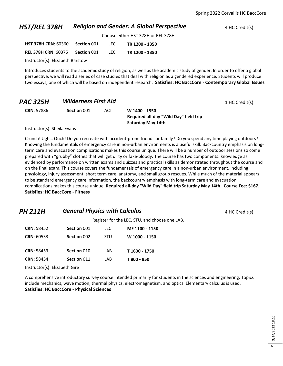#### **HST/REL 378H Religion and Gender: A Global Perspective** 4 HC Credit(s)

Choose either HST 378H or REL 378H

| <b>HST 378H CRN: 60360</b> | Section 001 | TEC. | TR 1200 - 1350 |
|----------------------------|-------------|------|----------------|
| <b>REL 378H CRN: 60375</b> | Section 001 | IFC. | TR 1200 - 1350 |

Instructor(s): Elizabeth Barstow

Introduces students to the academic study of religion, as well as the academic study of gender. In order to offer a global perspective, we will read a series of case studies that deal with religion as a gendered experience. Students will produce two essays, one of which will be based on independent research. **Satisfies: HC BaccCore** - **Contemporary Global Issues**

| <b>PAC 325H</b>   | <b>Wilderness First Aid</b> |     |                                                                              | 1 HC Credit(s) |
|-------------------|-----------------------------|-----|------------------------------------------------------------------------------|----------------|
| <b>CRN: 57886</b> | Section 001                 | ACT | W 1400 - 1550<br>Required all-day "Wild Day" field trip<br>Saturday May 14th |                |

Instructor(s): Sheila Evans

Crunch! Ugh… Ouch! Do you recreate with accident-prone friends or family? Do you spend any time playing outdoors? Knowing the fundamentals of emergency care in non-urban environments is a useful skill. Backcountry emphasis on longterm care and evacuation complications makes this course unique. There will be a number of outdoor sessions so come prepared with "grubby" clothes that will get dirty or fake-bloody. The course has two components: knowledge as evidenced by performance on written exams and quizzes and practical skills as demonstrated throughout the course and on the final exam. This course covers the fundamentals of emergency care in a non-urban environment, including physiology, injury assessment, short term care, anatomy, and small group rescues. While much of the material appears to be standard emergency care information, the backcountry emphasis with long-term care and evacuation complications makes this course unique. **Required all-day "Wild Day" field trip Saturday May 14th. Course Fee: \$167. Satisfies: HC BaccCore** - **Fitness**

#### **PH 211H General Physics with Calculus 1 According the Calculus** 4 HC Credit(s)

Register for the LEC, STU, and choose one LAB.

| <b>CRN: 58452</b> | Section 001 | LEC.       | MF 1100 - 1150 |
|-------------------|-------------|------------|----------------|
| <b>CRN: 60533</b> | Section 002 | <b>STU</b> | W 1000 - 1150  |
| <b>CRN: 58453</b> | Section 010 | I AB       | T 1600 - 1750  |
| <b>CRN: 58454</b> | Section 011 | I AB       | T 800 - 950    |

Instructor(s): Elizabeth Gire

A comprehensive introductory survey course intended primarily for students in the sciences and engineering. Topics include mechanics, wave motion, thermal physics, electromagnetism, and optics. Elementary calculus is used. **Satisfies: HC BaccCore** - **Physical Sciences**

**6**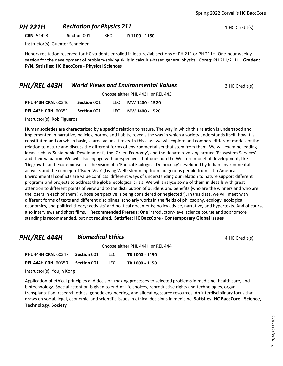# *PH 221H Recitation for Physics 211* <sup>1</sup> HC Credit(s)

**CRN**: 51423 **Section** 001 REC **R 1100 - 1150**

Instructor(s): Guenter Schneider

Honors recitation reserved for HC students enrolled in lecture/lab sections of PH 211 or PH 211H. One-hour weekly session for the development of problem-solving skills in calculus-based general physics. Coreq: PH 211/211H. **Graded: P/N. Satisfies: HC BaccCore** - **Physical Sciences**

#### **PHL/REL 443H** *World Views and Environmental Values* 3 HC Credit(s)

Choose either PHL 443H or REL 443H

| <b>PHL 443H CRN: 60346</b> | Section 001 | TEC. | MW 1400 - 1520 |
|----------------------------|-------------|------|----------------|
| <b>REL 443H CRN: 60351</b> | Section 001 | TEC. | MW 1400 - 1520 |

Instructor(s): Rob Figueroa

Human societies are characterized by a specific relation to nature. The way in which this relation is understood and implemented in narrative, policies, norms, and habits, reveals the way in which a society understands itself, how it is constituted and on which basic, shared values it rests. In this class we will explore and compare different models of the relation to nature and discuss the different forms of environmentalism that stem from them. We will examine leading ideas such as 'Sustainable Development', the 'Green Economy', and the debate revolving around 'Ecosystem Services' and their valuation. We will also engage with perspectives that question the Western model of development, like 'Degrowth' and 'Ecofeminism' or the vision of a 'Radical Ecological Democracy' developed by Indian environmental activists and the concept of 'Buen Vivir' (Living Well) stemming from indigenous people from Latin America. Environmental conflicts are value conflicts: different ways of understanding our relation to nature support different programs and projects to address the global ecological crisis. We will analyze some of them in details with great attention to different points of view and to the distribution of burdens and benefits (who are the winners and who are the losers in each of them? Whose perspective is being considered or neglected?). In this class, we will meet with different forms of texts and different disciplines: scholarly works in the fields of philosophy, ecology, ecological economics, and political theory; activists' and political documents; policy advice, narrative, and hypertexts. And of course also interviews and short films. **Recommended Prereqs**: One introductory-level science course and sophomore standing is recommended, but not required. **Satisfies: HC BaccCore** - **Contemporary Global Issues**

| PHL/REL 444H               | <b>Biomedical Ethics</b> |     |                                    | 4 HC Credit(s) |
|----------------------------|--------------------------|-----|------------------------------------|----------------|
|                            |                          |     | Choose either PHL 444H or REL 444H |                |
| <b>PHL 444H CRN: 60347</b> | Section 001              | LEC | TR 1000 - 1150                     |                |
| <b>REL 444H CRN: 60350</b> | Section 001              | LEC | TR 1000 - 1150                     |                |
| Instructor(s): Youjin Kong |                          |     |                                    |                |

Application of ethical principles and decision-making processes to selected problems in medicine, health care, and biotechnology. Special attention is given to end-of-life choices, reproductive rights and technologies, organ transplantation, research ethics, genetic engineering, and allocating scarce resources. An interdisciplinary focus that draws on social, legal, economic, and scientific issues in ethical decisions in medicine. **Satisfies: HC BaccCore** - **Science, Technology, Society**

**7**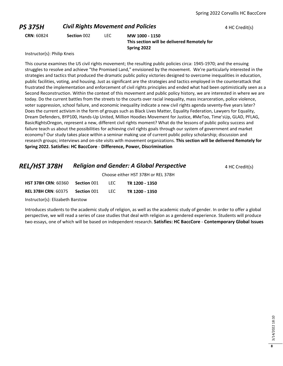#### **PS 375H Civil Rights Movement and Policies** 4 HC Credit(s) **CRN**: 60824 **Section** 002 LEC **MW 1000 - 1150 This section will be delivered Remotely for Spring 2022**

Instructor(s): Philip Kneis

This course examines the US civil rights movement; the resulting public policies circa: 1945-1970; and the ensuing struggles to resolve and achieve "the Promised Land," envisioned by the movement. We're particularly interested in the strategies and tactics that produced the dramatic public policy victories designed to overcome inequalities in education, public facilities, voting, and housing. Just as significant are the strategies and tactics employed in the counterattack that frustrated the implementation and enforcement of civil rights principles and ended what had been optimistically seen as a Second Reconstruction. Within the context of this movement and public policy history, we are interested in where we are today. Do the current battles from the streets to the courts over racial inequality, mass incarceration, police violence, voter suppression, school failure, and economic inequality indicate a new civil rights agenda seventy-five years later? Does the current activism in the form of groups such as Black Lives Matter, Equality Federation, Lawyers for Equality, Dream Defenders, BYP100, Hands-Up United, Million Hoodies Movement for Justice, #MeToo, Time'sUp, GLAD, PFLAG, BasicRightsOregon, represent a new, different civil rights moment? What do the lessons of public policy success and failure teach us about the possibilities for achieving civil rights goals through our system of government and market economy? Our study takes place within a seminar making use of current public policy scholarship; discussion and research groups; interviews and on-site visits with movement organizations. **This section will be delivered Remotely for Spring 2022. Satisfies: HC BaccCore** - **Difference, Power, Discrimination**

#### **REL/HST 378H Religion and Gender: A Global Perspective** 4 HC Credit(s)

Choose either HST 378H or REL 378H

| <b>HST 378H CRN: 60360 Section 001</b> |             | LEC.  | TR 1200 - 1350 |
|----------------------------------------|-------------|-------|----------------|
| <b>REL 378H CRN: 60375</b>             | Section 001 | -LEC. | TR 1200 - 1350 |

Instructor(s): Elizabeth Barstow

Introduces students to the academic study of religion, as well as the academic study of gender. In order to offer a global perspective, we will read a series of case studies that deal with religion as a gendered experience. Students will produce two essays, one of which will be based on independent research. **Satisfies: HC BaccCore** - **Contemporary Global Issues**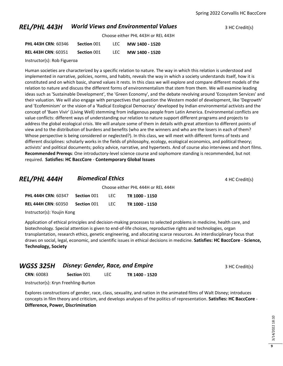#### *REL/PHL 443H World Views and Environmental Values* **3 HC Credit(s)**

Choose either PHL 443H or REL 443H

| <b>PHL 443H CRN: 60346</b> | Section 001 | LEC  | MW 1400 - 1520 |
|----------------------------|-------------|------|----------------|
| <b>REL 443H CRN: 60351</b> | Section 001 | TEC. | MW 1400 - 1520 |

Instructor(s): Rob Figueroa

Human societies are characterized by a specific relation to nature. The way in which this relation is understood and implemented in narrative, policies, norms, and habits, reveals the way in which a society understands itself, how it is constituted and on which basic, shared values it rests. In this class we will explore and compare different models of the relation to nature and discuss the different forms of environmentalism that stem from them. We will examine leading ideas such as 'Sustainable Development', the 'Green Economy', and the debate revolving around 'Ecosystem Services' and their valuation. We will also engage with perspectives that question the Western model of development, like 'Degrowth' and 'Ecofeminism' or the vision of a 'Radical Ecological Democracy' developed by Indian environmental activists and the concept of 'Buen Vivir' (Living Well) stemming from indigenous people from Latin America. Environmental conflicts are value conflicts: different ways of understanding our relation to nature support different programs and projects to address the global ecological crisis. We will analyze some of them in details with great attention to different points of view and to the distribution of burdens and benefits (who are the winners and who are the losers in each of them? Whose perspective is being considered or neglected?). In this class, we will meet with different forms of texts and different disciplines: scholarly works in the fields of philosophy, ecology, ecological economics, and political theory; activists' and political documents; policy advice, narrative, and hypertexts. And of course also interviews and short films. **Recommended Prereqs**: One introductory-level science course and sophomore standing is recommended, but not required. **Satisfies: HC BaccCore** - **Contemporary Global Issues**

| REL/PHL 444H               | <b>Biomedical Ethics</b> |       | 4 HC Credit(s)                     |  |
|----------------------------|--------------------------|-------|------------------------------------|--|
|                            |                          |       | Choose either PHL 444H or REL 444H |  |
| <b>PHL 444H CRN: 60347</b> | Section 001              | LEC   | TR 1000 - 1150                     |  |
| <b>REL 444H CRN: 60350</b> | Section 001              | LEC . | TR 1000 - 1150                     |  |
| Instructor(s): Youjin Kong |                          |       |                                    |  |

Application of ethical principles and decision-making processes to selected problems in medicine, health care, and biotechnology. Special attention is given to end-of-life choices, reproductive rights and technologies, organ transplantation, research ethics, genetic engineering, and allocating scarce resources. An interdisciplinary focus that draws on social, legal, economic, and scientific issues in ethical decisions in medicine. **Satisfies: HC BaccCore** - **Science, Technology, Society**

| <b>WGSS 325H</b> Disney: Gender, Race, and Empire |             |                | 3 HC Credit(s) |
|---------------------------------------------------|-------------|----------------|----------------|
| <b>CRN: 60083</b>                                 | Section 001 | TR 1400 - 1520 |                |

Instructor(s): Kryn Freehling-Burton

Explores constructions of gender, race, class, sexuality, and nation in the animated films of Walt Disney; introduces concepts in film theory and criticism, and develops analyses of the politics of representation. **Satisfies: HC BaccCore** - **Difference, Power, Discrimination**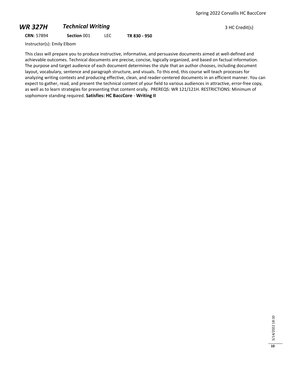# **WR 327H** *Technical Writing* 3 HC Credit(s)

**CRN**: 57894 **Section** 001 LEC **TR 830 - 950**

Instructor(s): Emily Elbom

This class will prepare you to produce instructive, informative, and persuasive documents aimed at well-defined and achievable outcomes. Technical documents are precise, concise, logically organized, and based on factual information. The purpose and target audience of each document determines the style that an author chooses, including document layout, vocabulary, sentence and paragraph structure, and visuals. To this end, this course will teach processes for analyzing writing contexts and producing effective, clean, and reader-centered documents in an efficient manner. You can expect to gather, read, and present the technical content of your field to various audiences in attractive, error-free copy, as well as to learn strategies for presenting that content orally. PREREQS: WR 121/121H. RESTRICTIONS: Minimum of sophomore standing required. **Satisfies: HC BaccCore** - **Writing II**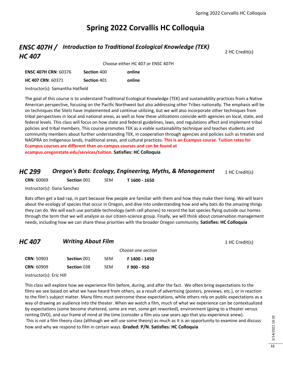# **Spring 2022 Corvallis HC Colloquia**

# *ENSC 407H / Introduction to Traditional Ecological Knowledge (TEK) HC 407*

2 HC Credit(s)

|                             |             | Choose either HC 407 or ENSC 407H |  |
|-----------------------------|-------------|-----------------------------------|--|
| <b>ENSC 407H CRN: 60376</b> | Section 400 | online                            |  |
| <b>HC 407 CRN: 60371</b>    | Section 401 | online                            |  |

Instructor(s): Samantha Hatfield

The goal of this course is to understand Traditional Ecological Knowledge (TEK) and sustainability practices from a Native American perspective, focusing on the Pacific Northwest but also addressing other Tribes nationally. The emphasis will be on techniques the Siletz have implemented and continue utilizing, but we will also incorporate other techniques from tribal perspectives in local and national areas, as well as how these utilizations coincide with agencies on local, state, and federal levels. This class will focus on how state and federal guidelines, laws, and regulations affect and implement tribal policies and tribal members. This course promotes TEK as a viable sustainability technique and teaches students and community members about further understanding TEK, in cooperation through agencies and policies such as treaties and NAGPRA on Indigenous lands, traditional areas, and cultural practices. **This is an Ecampus course. Tuition rates for Ecampus courses are different than on-campus courses and can be found at ecampus.oregonstate.edu/services/tuition. Satisfies: HC Colloquia**

#### *HC 299 Oregon's Bats: Ecology, Engineering, Myths, & Management* 1 HC Credit(s)

**CRN**: 60069 **Section** 001 SEM **T 1600 - 1650**

Instructor(s): Dana Sanchez

Bats often get a bad rap, in part because few people are familiar with them and how they make their living. We will learn about the ecology of species that occur in Oregon, and dive into understanding how and why bats do the amazing things they can do. We will each use portable technology (with cell phones) to record the bat species flying outside our homes through the term that we will analyze as our citizen-science group. Finally, we will think about conservation management needs, including how we can share these priorities with the broader Oregon community. **Satisfies: HC Colloquia**

#### *HC 407* **Writing About Film 1 HC Credit(s) 1 HC Credit(s)**

|                   |                    |            | Choose one section |
|-------------------|--------------------|------------|--------------------|
| <b>CRN: 50903</b> | Section 001        | <b>SFM</b> | F 1400 - 1450      |
| <b>CRN: 60909</b> | <b>Section 038</b> | <b>SFM</b> | F 900 - 950        |

Instructor(s): Eric Hill

This class will explore how we experience film before, during, and after the fact. We often bring expectations to the films we see based on what we have heard from others, as a result of advertising (posters, previews, etc.), or in reaction to the film's subject matter. Many films must overcome these expectations, while others rely on public expectations as a way of drawing an audience into the theater. When we watch a film, much of what we experience can be contextualized by expectations (some become shattered, some are met, some get reworked), environment (going to a theater versus renting DVD), and our frame of mind at the time (consider a film you saw years ago that you experience anew). This is not a film theory class (although we will use some theory) as much as it is an opportunity to examine and discuss how and why we respond to film in certain ways. **Graded: P/N. Satisfies: HC Colloquia**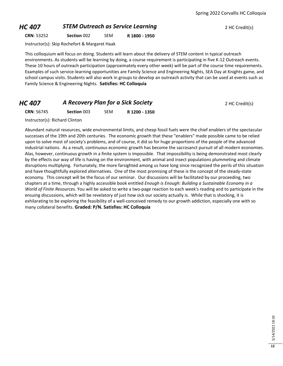#### **HC 407 STEM Outreach as Service Learning Property 2 HC Credit(s)**

**CRN**: 53252 **Section** 002 SEM **R 1800 - 1950**

Instructor(s): Skip Rochefort & Margaret Haak

This colloquium will focus on doing. Students will learn about the delivery of STEM content in typical outreach environments. As students will be learning by doing, a course requirement is participating in five K-12 Outreach events. These 10 hours of outreach participation (approximately every other week) will be part of the course time requirements. Examples of such service-learning opportunities are Family Science and Engineering Nights, SEA Day at Knights game, and school campus visits. Students will also work in groups to develop an outreach activity that can be used at events such as Family Science & Engineering Nights. **Satisfies: HC Colloquia**

#### *HC 407* **A Recovery Plan for a Sick Society 2 HC Credit(s)** 2 HC Credit(s)

**CRN**: 56745 **Section** 003 SEM **R 1200 - 1350**

Instructor(s): Richard Clinton

Abundant natural resources, wide environmental limits, and cheap fossil fuels were the chief enablers of the spectacular successes of the 19th and 20th centuries. The economic growth that these "enablers" made possible came to be relied upon to solve most of society's problems, and of course, it did so for huge proportions of the people of the advanced industrial nations. As a result, continuous economic growth has become the sacrosanct pursuit of all modern economies. Alas, however, continuous growth in a finite system is impossible. That impossibility is being demonstrated most clearly by the effects our way of life is having on the environment, with animal and insect populations plummeting and climate disruptions multiplying. Fortunately, the more farsighted among us have long since recognized the perils of this situation and have thoughtfully explored alternatives. One of the most promising of these is the concept of the steady-state economy. This concept will be the focus of our seminar. Our discussions will be facilitated by our proceeding, two chapters at a time, through a highly accessible book entitled *Enough is Enough: Building a Sustainable Economy in a World of Finite Resources.* You will be asked to write a two-page reaction to each week's reading and to participate in the ensuing discussions, which will be revelatory of just how sick our society actually is. While that is shocking, it is exhilarating to be exploring the feasibility of a well-conceived remedy to our growth addiction, especially one with so many collateral benefits. **Graded: P/N. Satisfies: HC Colloquia**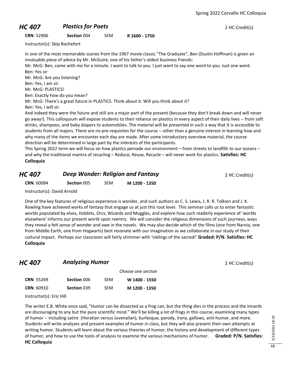## **HC 407 Plastics for Poets** 2 HC Credit(s)

**CRN**: 52906 **Section** 004 SEM **R 1600 - 1750**

Instructor(s): Skip Rochefort

In one of the most memorable scenes from the 1967 movie classic "The Graduate", Ben (Dustin Hoffman) is given an invaluable piece of advice by Mr. McGuire, one of his father's oldest business friends:

Mr. McG: Ben, come with me for a minute. I want to talk to you. I just want to say one word to you. Just one word. Ben: Yes sir

Mr. McG: Are you listening?

Ben: Yes, I am sir.

Mr. McG: PLASTICS!

Ben: Exactly how do you mean?

Mr. McG: There's a great future in PLASTICS. Think about it. Will you think about it? Ben: Yes, I will sir.

And indeed they were the future and still are a major part of the present (because they don't break down and will never go away!). This colloquium will expose students to their reliance on plastics in every aspect of their daily lives -- from soft drinks, shampoos, and baby diapers to automobiles. The material will be presented in such a way that it is accessible to students from all majors. There are no pre-requisites for the course -- other than a genuine interest in learning how and why many of the items we encounter each day are made. After some introductory overview material, the course direction will be determined in large part by the interests of the participants.

This Spring 2022 term we will focus on how plastics pervade our environment – from streets to landfills to our oceans – and why the traditional mantra of recycling – Reduce, Reuse, Recycle – will never work for plastics. **Satisfies: HC Colloquia**

| <b>HC 407</b>     | Deep Wonder: Religion and Fantasy |     |               | 2 HC Credit(s) |
|-------------------|-----------------------------------|-----|---------------|----------------|
| <b>CRN: 60084</b> | <b>Section 005</b>                | SEM | M 1200 - 1350 |                |

Instructor(s): David Arnold

One of the key features of religious experience is wonder, and such authors as C. S. Lewis, J. R. R. Tolkien and J. K. Rowling have achieved works of fantasy that engage us at just this root level. This seminar calls us to enter fantastic worlds populated by elves, Hobbits, Orcs, Wizards and Muggles, and explore how such readerly experience of 'worlds elsewhere' informs our present world upon reentry. We will consider the religious dimensions of such journeys, ways they reveal a felt sense of wonder and awe in the novels. We may also decide which of the films (one from Narnia, one from Middle Earth, one from Hogwarts) best resonate with our imagination as we collaborate in our study of their cultural impact. Perhaps our classroom will fairly shimmer with 'inklings of the sacred!' **Graded: P/N. Satisfies: HC Colloquia**

#### **HC 407 Analyzing Humor** *Analyzing Humor PHC ADI ANALYZING* **<b>***PHC Credit(s)*

|                   |             |            | Choose one section |
|-------------------|-------------|------------|--------------------|
| <b>CRN: 55269</b> | Section 006 | <b>SFM</b> | W 1400 - 1550      |
| <b>CRN: 60910</b> | Section 039 | <b>SFM</b> | M 1200 - 1350      |

Instructor(s): Eric Hill

The writer E.B. White once said, "Humor can be dissected as a frog can, but the thing dies in the process and the innards are discouraging to any but the pure scientific mind." We'll be killing a lot of frogs in this course, examining many types of humor -- including satire (Horatian versus Juvenalian), burlesque, parody, irony, gallows, anti-humor, and more. Students will write analyses and present examples of humor in class, but they will also present their own attempts at writing humor. Students will learn about the various theories of humor, the history and development of different types of humor, and how to use the tools of analysis to examine the various mechanisms of humor. **Graded: P/N. Satisfies: HC Colloquia**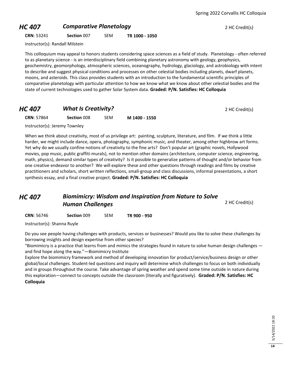# **HC 407 Comparative Planetology Property 2 HC Credit(s)**

**CRN**: 53241 **Section** 007 SEM **TR 1000 - 1050**

Instructor(s): Randall Milstein

This colloquium may appeal to honors students considering space sciences as a field of study. Planetology - often referred to as planetary science - is an interdisciplinary field combining planetary astronomy with geology, geophysics, geochemistry, geomorphology, atmospheric sciences, oceanography, hydrology, glaciology, and astrobiology with intent to describe and suggest physical conditions and processes on other celestial bodies including planets, dwarf planets, moons, and asteroids. This class provides students with an introduction to the fundamental scientific principles of comparative planetology with particular attention to how we know what we know about other celestial bodies and the state of current technologies used to gather Solar System data. **Graded: P/N. Satisfies: HC Colloquia**

#### *HC 407 What Is Creativity?* 2 HC Credit(s)

**CRN**: 57864 **Section** 008 SEM **M 1400 - 1550**

Instructor(s): Jeremy Townley

When we think about creativity, most of us privilege art: painting, sculpture, literature, and film. If we think a little harder, we might include dance, opera, photography, symphonic music, and theater, among other highbrow art forms. Yet why do we usually confine notions of creativity to the fine arts? Don't popular art (graphic novels, Hollywood movies, pop music, public graffiti-murals), not to mention other domains (architecture, computer science, engineering, math, physics), demand similar types of creativity? Is it possible to generalize patterns of thought and/or behavior from one creative endeavor to another? We will explore these and other questions through readings and films by creative practitioners and scholars, short written reflections, small-group and class discussions, informal presentations, a short synthesis essay, and a final creative project. **Graded: P/N. Satisfies: HC Colloquia**

#### *HC 407 Biomimicry: Wisdom and Inspiration from Nature to Solve*  **Human Challenges** 2 HC Credit(s)

**CRN**: 56746 **Section** 009 SEM **TR 900 - 950**

Instructor(s): Shanna Ruyle

Do you see people having challenges with products, services or businesses? Would you like to solve these challenges by borrowing insights and design expertise from other species?

"Biomimicry is a practice that learns from and mimics the strategies found in nature to solve human design challenges  $$ and find hope along the way."—Biomimicry Institute

Explore the biomimicry framework and method of developing innovation for product/service/business design or other global/local challenges. Student-led questions and inquiry will determine which challenges to focus on both individually and in groups throughout the course. Take advantage of spring weather and spend some time outside in nature during this exploration—connect to concepts outside the classroom (literally and figuratively). **Graded: P/N. Satisfies: HC Colloquia**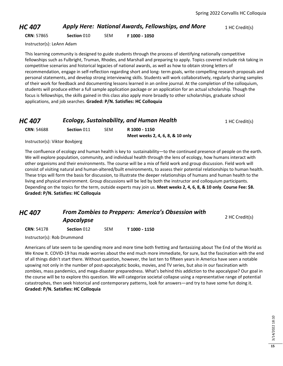#### *HC 407* **Apply Here: National Awards, Fellowships, and More** 1HC Credit(s)

**CRN**: 57865 **Section** 010 SEM **F 1000 - 1050**

Instructor(s): LeAnn Adam

This learning community is designed to guide students through the process of identifying nationally competitive fellowships such as Fulbright, Truman, Rhodes, and Marshall and preparing to apply. Topics covered include risk taking in competitive scenarios and historical legacies of national awards, as well as how to obtain strong letters of recommendation, engage in self-reflection regarding short and long- term goals, write compelling research proposals and personal statements, and develop strong interviewing skills. Students will work collaboratively, regularly sharing samples of their work for feedback and documenting lessons learned in an online journal. At the completion of the colloquium, students will produce either a full sample application package or an application for an actual scholarship. Though the focus is fellowships, the skills gained in this class also apply more broadly to other scholarships, graduate school applications, and job searches. **Graded: P/N. Satisfies: HC Colloquia**

| <b>HC 407</b>     | <b>Ecology, Sustainability, and Human Health</b> |     |                                  | 1 HC Credit(s) |
|-------------------|--------------------------------------------------|-----|----------------------------------|----------------|
| <b>CRN: 54688</b> | Section 011                                      | SEM | R 1000 - 1150                    |                |
|                   |                                                  |     | Meet weeks 2, 4, 6, 8, & 10 only |                |
|                   |                                                  |     |                                  |                |

Instructor(s): Viktor Bovbjerg

The confluence of ecology and human health is key to sustainability—to the continued presence of people on the earth. We will explore population, community, and individual health through the lens of ecology, how humans interact with other organisms and their environments. The course will be a mix of field work and group discussion. Field work will consist of visiting natural and human-altered/built environments, to assess their potential relationships to human health. These trips will form the basis for discussion, to illustrate the deeper relationships of humans and human health to the living and physical environment. Group discussions will be led by both the instructor and colloquium participants. Depending on the topics for the term, outside experts may join us. **Meet weeks 2, 4, 6, 8, & 10 only**. **Course Fee: \$8. Graded: P/N. Satisfies: HC Colloquia**

# *HC 407 From Zombies to Preppers: America's Obsession with*  **Apocalypse** 2 HC Credit(s)

**CRN**: 54178 **Section** 012 SEM **T 1000 - 1150**

Instructor(s): Rob Drummond

Americans of late seem to be spending more and more time both fretting and fantasizing about The End of the World as We Know It. COVID-19 has made worries about the end much more immediate, for sure, but the fascination with the end of all things didn't start there. Without question, however, the last ten to fifteen years in America have seen a notable upswing not only in the number of post-apocalyptic books, movies, and TV series, but also in our fascination with zombies, mass pandemics, and mega-disaster preparedness. What's behind this addiction to the apocalypse? Our goal in the course will be to explore this question. We will categorize societal collapse using a representative range of potential catastrophes, then seek historical and contemporary patterns, look for answers—and try to have some fun doing it. **Graded: P/N. Satisfies: HC Colloquia**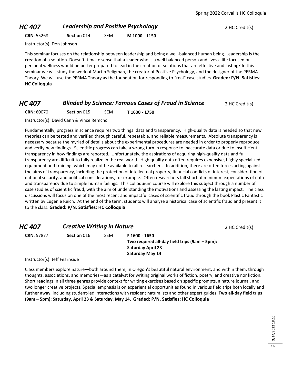#### *HC 407* **Leadership and Positive Psychology 2 HC Credit(s)**

**CRN**: 55268 **Section** 014 SEM **M 1000 - 1150**

Instructor(s): Don Johnson

This seminar focuses on the relationship between leadership and being a well-balanced human being. Leadership is the creation of a solution. Doesn't it make sense that a leader who is a well balanced person and lives a life focused on personal wellness would be better prepared to lead in the creation of solutions that are effective and lasting? In this seminar we will study the work of Martin Seligman, the creator of Positive Psychology, and the designer of the PERMA Theory. We will use the PERMA Theory as the foundation for responding to "real" case studies. **Graded: P/N. Satisfies: HC Colloquia**

#### *HC 407* **Blinded by Science: Famous Cases of Fraud in Science** 2 HC Credit(s)

**CRN**: 60070 **Section** 015 SEM **T 1600 - 1750**

Instructor(s): David Cann & Vince Remcho

Fundamentally, progress in science requires two things: data and transparency. High-quality data is needed so that new theories can be tested and verified through careful, repeatable, and reliable measurements. Absolute transparency is necessary because the myriad of details about the experimental procedures are needed in order to properly reproduce and verify new findings. Scientific progress can take a wrong turn in response to inaccurate data or due to insufficient transparency in how findings are reported. Unfortunately, the aspirations of acquiring high-quality data and full transparency are difficult to fully realize in the real world. High quality data often requires expensive, highly specialized equipment and training, which may not be available to all researchers. In addition, there are often forces acting against the aims of transparency, including the protection of intellectual property, financial conflicts of interest, consideration of national security, and political considerations, for example. Often researchers fall short of minimum expectations of data and transparency due to simple human failings. This colloquium course will explore this subject through a number of case studies of scientific fraud, with the aim of understanding the motivations and assessing the lasting impact. The class discussions will focus on one of the most recent and impactful cases of scientific fraud through the book Plastic Fantastic written by Eugenie Reich. At the end of the term, students will analyze a historical case of scientific fraud and present it to the class. **Graded: P/N. Satisfies: HC Colloquia**

| HC 407            | <b>Creative Writing in Nature</b> | 2 HC Credit(s) |                                                                                               |  |
|-------------------|-----------------------------------|----------------|-----------------------------------------------------------------------------------------------|--|
| <b>CRN: 57877</b> | Section 016                       | <b>SEM</b>     | F 1600 - 1650<br>Two required all-day field trips $(9am - 5pm)$ :<br><b>Saturday April 23</b> |  |
|                   |                                   |                | <b>Saturday May 14</b>                                                                        |  |

Instructor(s): Jeff Fearnside

Class members explore nature—both around them, in Oregon's beautiful natural environment, and within them, through thoughts, associations, and memories—as a catalyst for writing original works of fiction, poetry, and creative nonfiction. Short readings in all three genres provide context for writing exercises based on specific prompts, a nature journal, and two longer creative projects. Special emphasis is on experiential opportunities found in various field trips both locally and further away, including student-led interactions with resident naturalists and other expert guides. **Two all-day field trips (9am – 5pm): Saturday, April 23 & Saturday, May 14. Graded: P/N. Satisfies: HC Colloquia**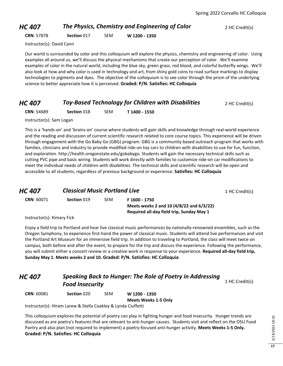#### *HC 407* **The Physics, Chemistry and Engineering of Color** 2 HC Credit(s)

**CRN**: 57878 **Section** 017 SEM **W 1200 - 1350**

Instructor(s): David Cann

Our world is surrounded by color and this colloquium will explore the physics, chemistry and engineering of color. Using examples all around us, we'll discuss the physical mechanisms that create our perception of color. We'll examine examples of color in the natural world, including the blue sky, green grass, red blood, and colorful butterfly wings. We'll also look at how and why color is used in technology and art, from shiny gold coins to road surface markings to display technologies to pigments and dyes. The objective of the colloquium is to see color through the prism of the underlying science to better appreciate how it is perceived. **Graded: P/N. Satisfies: HC Colloquia**

#### *HC 407 Toy-Based Technology for Children with Disabilities* **2 HC Credit(s)**

**CRN**: 54689 **Section** 018 SEM **T 1400 - 1550**

Instructor(s): Sam Logan

This is a 'hands-on' and 'brains-on' course where students will gain skills and knowledge through real-world experience and the reading and discussion of current scientific research related to core course topics. This experience will be driven through engagement with the Go Baby Go (GBG) program. GBG is a community-based outreach program that works with families, clinicians and industry to provide modified ride-on toy cars to children with disabilities to use for fun, function, and exploration. http://health.oregonstate.edu/gobabygo. Students will gain the necessary technical skills such as cutting PVC pipe and basic wiring. Students will work directly with families to customize ride-on car modifications to meet the individual needs of children with disabilities. The technical skills and scientific research will be open and accessible to all students, regardless of previous background or experience. **Satisfies: HC Colloquia**

| <b>Classical Music Portland Live</b><br>HC 407 |             |      |                                           | 1 HC Credit(s) |
|------------------------------------------------|-------------|------|-------------------------------------------|----------------|
| <b>CRN: 60071</b>                              | Section 019 | SEM. | F 1600 - 1750                             |                |
|                                                |             |      | Meets weeks 2 and 10 (4/8/22 and 6/3/22)  |                |
|                                                |             |      | Required all-day field trip, Sunday May 1 |                |
| Instructor(s): Kimary Fick                     |             |      |                                           |                |

Instructor(s): Kimary Fick

Enjoy a field trip to Portland and hear live classical music performances by nationally-renowned ensembles, such as the Oregon Symphony, to experience first-hand the power of classical music. Students will attend live performances and visit the Portland Art Museum for an immersive field trip. In addition to traveling to Portland, the class will meet twice on campus, both before and after the event, to prepare for the trip and discuss the experience. Following the performance, you will submit either a concert review or a creative work in response to your experience. **Required all-day field trip, Sunday May 1. Meets weeks 2 and 10. Graded: P/N. Satisfies: HC Colloquia**

# *HC 407 Speaking Back to Hunger: The Role of Poetry in Addressing*  **Food Insecurity 1** HC Credit(s)

**CRN**: 60081 **Section** 020 SEM **W 1200 - 1350 Meets Weeks 1-5 Only**

Instructor(s): Hiram Larew & Stella Coakley & Lynda Ciuffetti

This colloquium explores the potential of poetry can play in fighting hunger and food insecurity. Hunger trends are discussed as are poetry's features that are relevant to anti-hunger causes. Students visit and reflect on the OSU Food Pantry and also plan (not required to implement) a poetry-focused anti-hunger activity. **Meets Weeks 1-5 Only. Graded: P/N. Satisfies: HC Colloquia**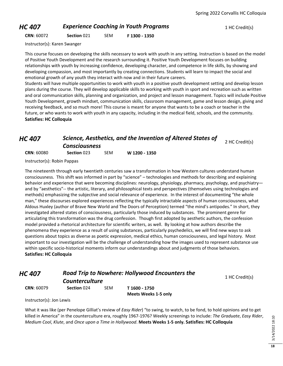#### **HC 407 Experience Coaching in Youth Programs** 1 HC Credit(s)

**CRN**: 60072 **Section** 021 SEM **F 1300 - 1350**

Instructor(s): Karen Swanger

This course focuses on developing the skills necessary to work with youth in any setting. Instruction is based on the model of Positive Youth Development and the research surrounding it. Positive Youth Development focuses on building relationships with youth by increasing confidence, developing character, and competence in life skills, by showing and developing compassion, and most importantly by creating connections. Students will learn to impact the social and emotional growth of any youth they interact with now and in their future careers.

Students will have multiple opportunities to work with youth in a positive youth development setting and develop lesson plans during the course. They will develop applicable skills to working with youth in sport and recreation such as written and oral communication skills, planning and organization, and project and lesson management. Topics will include Positive Youth Development, growth mindset, communication skills, classroom management, game and lesson design, giving and receiving feedback, and so much more! This course is meant for anyone that wants to be a coach or teacher in the future, or who wants to work with youth in any capacity, including in the medical field, schools, and the community. **Satisfies: HC Colloquia**

#### *HC 407 Science, Aesthetics, and the Invention of Altered States of Consciousness* 2 HC Credit(s)

**CRN**: 60080 **Section** 023 SEM **W 1200 - 1350**

Instructor(s): Robin Pappas

The nineteenth through early twentieth centuries saw a transformation in how Western cultures understand human consciousness. This shift was informed in part by "science" – technologies and methods for describing and explaining behavior and experience that were becoming disciplines: neurology, physiology, pharmacy, psychology, and psychiatry and by "aesthetics"-- the artistic, literary, and philosophical texts and perspectives (themselves using technologies and methods) emphasizing the subjective and social relevance of experience. In the interest of documenting "the whole man," these discourses explored experiences reflecting the typically intractable aspects of human consciousness, what Aldous Huxley (author of Brave New World and The Doors of Perception) termed "the mind's antipodes." In short, they investigated altered states of consciousness, particularly those induced by substances. The prominent genre for articulating this transformation was the drug confession. Though first adopted by aesthetic authors, the confession model provided a rhetorical architecture for scientific writers, as well. By looking at how authors describe the phenomena they experience as a result of using substances, particularly psychedelics, we will find new ways to ask questions about topics as diverse as poetic expression, medical ethics, human consciousness, and legal history. Most important to our investigation will be the challenge of understanding how the images used to represent substance use within specific socio-historical moments inform our understandings about and judgments of those behaviors. **Satisfies: HC Colloquia**

#### *HC 407 Road Trip to Nowhere: Hollywood Encounters the Counterculture*

1 HC Credit(s)

**CRN**: 60079 **Section** 024 SEM **T 1600 - 1750**

**Meets Weeks 1-5 only**

Instructor(s): Jon Lewis

What it was like (per Penelope Gilliat's review of *Easy Rider*) "to swing, to watch, to be fond, to hold opinions and to get killed in America" in the counterculture era, roughly 1967-1976? Weekly screenings to include: *The Graduate*, *Easy Rider*, *Medium Cool*, *Klute*, and *Once upon a Time in Hollywood*. **Meets Weeks 1-5 only. Satisfies: HC Colloquia**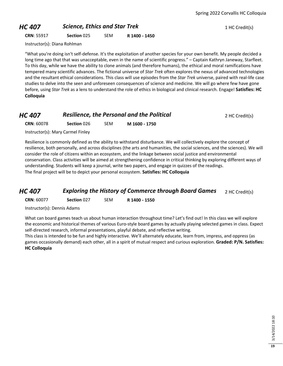#### **HC 407 Science, Ethics and Star Trek** 1 HC Credit(s)

**CRN**: 55917 **Section** 025 SEM **R 1400 - 1450**

Instructor(s): Diana Rohlman

"What you're doing isn't self-defense. It's the exploitation of another species for your own benefit. My people decided a long time ago that that was unacceptable, even in the name of scientific progress." – Captain Kathryn Janeway, Starfleet. To this day, while we have the ability to clone animals (and therefore humans), the ethical and moral ramifications have tempered many scientific advances. The fictional universe of *Star Trek* often explores the nexus of advanced technologies and the resultant ethical considerations. This class will use episodes from the *Star Trek* universe, paired with real-life case studies to delve into the seen and unforeseen consequences of science and medicine. We will go where few have gone before, using *Star Trek* as a lens to understand the role of ethics in biological and clinical research. Engage! **Satisfies: HC Colloquia**

| <b>HC 407</b>     | <b>Resilience, the Personal and the Political</b> |     |               | 2 HC Credit(s) |
|-------------------|---------------------------------------------------|-----|---------------|----------------|
| <b>CRN: 60078</b> | Section 026                                       | SEM | M 1600 - 1750 |                |

Instructor(s): Mary Carmel Finley

Resilience is commonly defined as the ability to withstand disturbance. We will collectively explore the concept of resilience, both personally, and across disciplines (the arts and humanities, the social sciences, and the sciences). We will consider the role of citizens within an ecosystem, and the linkage between social justice and environmental conservation. Class activities will be aimed at strengthening confidence in critical thinking by exploring different ways of understanding. Students will keep a journal, write two papers, and engage in quizzes of the readings. The final project will be to depict your personal ecosystem. **Satisfies: HC Colloquia**

#### *HC 407* **Exploring the History of Commerce through Board Games** 2 HC Credit(s)

**CRN**: 60077 **Section** 027 SEM **R 1400 - 1550**

Instructor(s): Dennis Adams

What can board games teach us about human interaction throughout time? Let's find out! In this class we will explore the economic and historical themes of various Euro-style board games by actually playing selected games in class. Expect self-directed research, informal presentations, playful debate, and reflective writing.

This class is intended to be fun and highly interactive. We'll alternately educate, learn from, impress, and oppress (as games occasionally demand) each other, all in a spirit of mutual respect and curious exploration. **Graded: P/N. Satisfies: HC Colloquia**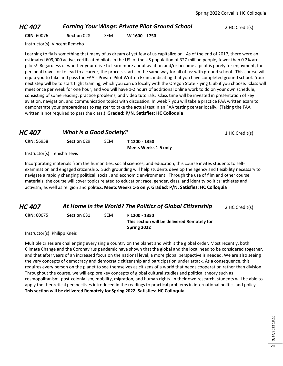#### *HC 407* **Earning Your Wings: Private Pilot Ground School** 2 HC Credit(s)

**CRN**: 60076 **Section** 028 SEM **W 1600 - 1750**

Instructor(s): Vincent Remcho

Learning to fly is something that many of us dream of yet few of us capitalize on. As of the end of 2017, there were an estimated 609,000 active, certificated pilots in the US: of the US population of 327 million people, fewer than 0.2% are pilots! Regardless of whether your drive to learn more about aviation and/or become a pilot is purely for enjoyment, for personal travel, or to lead to a career, the process starts in the same way for all of us: with ground school. This course will equip you to take and pass the FAA's Private Pilot Written Exam, indicating that you have completed ground school. Your next step will be to start flight training, which you can do locally with the Oregon State Flying Club if you choose. Class will meet once per week for one hour, and you will have 1-2 hours of additional online work to do on your own schedule, consisting of some reading, practice problems, and video tutorials. Class time will be invested in presentation of key aviation, navigation, and communication topics with discussion. In week 7 you will take a practice FAA written exam to demonstrate your preparedness to register to take the actual test in an FAA testing center locally. (Taking the FAA written is not required to pass the class.) **Graded: P/N. Satisfies: HC Colloquia**

#### **HC 407 What is a Good Society?** 1 HC Credit(s)

**CRN**: 56958 **Section** 029 SEM **T 1200 - 1350 Meets Weeks 1-5 only**

Instructor(s): Tenisha Tevis

Incorporating materials from the humanities, social sciences, and education, this course invites students to selfexamination and engaged citizenship. Such grounding will help students develop the agency and flexibility necessary to navigate a rapidly changing political, social, and economic environment. Through the use of film and other course materials, the course will cover topics related to education; race, gender, class, and identity politics; athletes and activism; as well as religion and politics. **Meets Weeks 1-5 only. Graded: P/N. Satisfies: HC Colloquia**

*HC 407* **At Home in the World? The Politics of Global Citizenship** 2 HC Credit(s)

**CRN**: 60075 **Section** 031 SEM **F 1200 - 1350 This section will be delivered Remotely for Spring 2022**

Instructor(s): Philipp Kneis

Multiple crises are challenging every single country on the planet and with it the global order. Most recently, both Climate Change and the Coronavirus pandemic have shown that the global and the local need to be considered together, and that after years of an increased focus on the national level, a more global perspective is needed. We are also seeing the very concepts of democracy and democratic citizenship and participation under attack. As a consequence, this requires every person on the planet to see themselves as citizens of a world that needs cooperation rather than division. Throughout the course, we will explore key concepts of global cultural studies and political theory such as cosmopolitanism, post-colonialism, mobility, migration, and human rights. In their own research, students will be able to apply the theoretical perspectives introduced in the readings to practical problems in international politics and policy. **This section will be delivered Remotely for Spring 2022. Satisfies: HC Colloquia**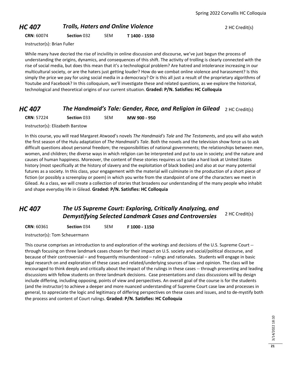#### *HC 407* **Trolls, Haters and Online Violence** 2 HC Credit(s)

**CRN**: 60074 **Section** 032 SEM **T 1400 - 1550**

Instructor(s): Brian Fuller

While many have decried the rise of incivility in online discussion and discourse, we've just begun the process of understanding the origins, dynamics, and consequences of this shift. The activity of trolling is clearly connected with the rise of social media, but does this mean that it's a technological problem? Are hatred and intolerance increasing in our multicultural society, or are the haters just getting louder? How do we combat online violence and harassment? Is this simply the price we pay for using social media in a democracy? Or is this all just a result of the proprietary algorithms of Youtube and Facebook? In this colloquium, we'll investigate these and related questions, as we explore the historical, technological and theoretical origins of our current situation. **Graded: P/N. Satisfies: HC Colloquia**

#### *HC 407* **The Handmaid's Tale: Gender, Race, and Religion in Gilead** 2 HC Credit(s)

**CRN**: 57224 **Section** 033 SEM **MW 900 - 950**

Instructor(s): Elizabeth Barstow

In this course, you will read Margaret Atwood's novels *The Handmaid's Tale* and *The Testaments*, and you will also watch the first season of the Hulu adaptation of *The Handmaid's Tale*. Both the novels and the television show force us to ask difficult questions about personal freedom; the responsibilities of national governments; the relationships between men, women, and children; the diverse ways in which religion can be interpreted and put to use in society; and the nature and causes of human happiness. Moreover, the content of these stories requires us to take a hard look at United States history (most specifically at the history of slavery and the exploitation of black bodies) and also at our many potential futures as a society. In this class, your engagement with the material will culminate in the production of a short piece of fiction (or possibly a screenplay or poem) in which you write from the standpoint of one of the characters we meet in Gilead. As a class, we will create a collection of stories that broadens our understanding of the many people who inhabit and shape everyday life in Gilead. **Graded: P/N. Satisfies: HC Colloquia**

#### *HC 407 The US Supreme Court: Exploring, Critically Analyzing, and*  **Demystifying Selected Landmark Cases and Controversies** 2 HC Credit(s)

**CRN**: 60361 **Section** 034 SEM **F 1000 - 1150**

Instructor(s): Tom Scheuermann

This course comprises an introduction to and exploration of the workings and decisions of the U.S. Supreme Court - through focusing on three landmark cases chosen for their impact on U.S. society and social/political discourse, and because of their controversial – and frequently misunderstood – rulings and rationales. Students will engage in basic legal research on and exploration of these cases and related/underlying sources of law and opinion. The class will be encouraged to think deeply and critically about the impact of the rulings in these cases -- through presenting and leading discussions with fellow students on three landmark decisions. Case presentations and class discussions will by design include differing, including opposing, points of view and perspectives. An overall goal of the course is for the students (and the instructor) to achieve a deeper and more nuanced understanding of Supreme Court case law and processes in general, to appreciate the logic and legitimacy of differing perspectives on these cases and issues, and to de-mystify both the process and content of Court rulings. **Graded: P/N. Satisfies: HC Colloquia**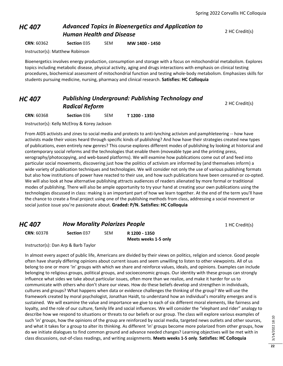## *HC 407 Advanced Topics in Bioenergetics and Application to*  **Human Health and Disease** 2 HC Credit(s)

**CRN**: 60362 **Section** 035 SEM **MW 1400 - 1450**

Instructor(s): Matthew Robinson

Bioenergetics involves energy production, consumption and storage with a focus on mitochondrial metabolism. Explores topics including metabolic disease, physical activity, aging and drugs interactions with emphasis on clinical testing procedures, biochemical assessment of mitochondrial function and testing whole-body metabolism. Emphasizes skills for students pursuing medicine, nursing, pharmacy and clinical research. **Satisfies: HC Colloquia**

#### *HC 407 Publishing Underground: Publishing Technology and*  **Radical Reform** 2 HC Credit(s)

**CRN**: 60368 **Section** 036 SEM **T 1200 - 1350**

Instructor(s): Kelly McElroy & Korey Jackson

From AIDS activists and zines to social media and protests to anti-lynching activism and pamphleteering -- how have activists made their voices heard through specific kinds of publishing? And how have their strategies created new types of publications, even entirely new genres? This course explores different modes of publishing by looking at historical and contemporary social reforms and the technologies that enable them (moveable type and the printing press, xerography/photocopying, and web-based platforms). We will examine how publications come out of and feed into particular social movements, discovering just how the politics of activism are informed by (and themselves inform) a wide variety of publication techniques and technologies. We will consider not only the use of various publishing formats but also how institutions of power have reacted to their use, and how such publications have been censured or co-opted. We will also look at how alternative publishing attracts audiences of readers alienated by more formal or traditional modes of publishing. There will also be ample opportunity to try your hand at creating your own publications using the technologies discussed in class: making is an important part of how we learn together. At the end of the term you'll have the chance to create a final project using one of the publishing methods from class, addressing a social movement or social justice issue you're passionate about. **Graded: P/N. Satisfies: HC Colloquia**

| <b>HC 407</b>     |                    | <b>How Morality Polarizes People</b> |                      |  |
|-------------------|--------------------|--------------------------------------|----------------------|--|
| <b>CRN: 60378</b> | <b>Section 037</b> | SFM                                  | R 1200 - 1350        |  |
|                   |                    |                                      | Meets weeks 1-5 only |  |

Instructor(s): Dan Arp & Barb Taylor

In almost every aspect of public life, Americans are divided by their views on politics, religion and science. Good people often have sharply differing opinions about current issues and seem unwilling to listen to other viewpoints. All of us belong to one or more 'in' groups with which we share and reinforce values, ideals, and opinions. Examples can include belonging to religious groups, political groups, and socioeconomic groups. Our identity with these groups can strongly influence what sides we take about particular issues, often more than we realize, and make it harder for us to communicate with others who don't share our views. How do these beliefs develop and strengthen in individuals, cultures and groups? What happens when data or evidence challenges the thinking of the group? We will use the framework created by moral psychologist, Jonathan Haidt, to understand how an individual's morality emerges and is sustained. We will examine the value and importance we give to each of six different moral elements, like fairness and loyalty, and the role of our culture, family life and social influences. We will consider the "elephant and rider" analogy to describe how we respond to situations or threats to our beliefs or our group. The class will explore various examples of such 'in' groups, how the opinions of the group are reinforced by social media, targeted news outlets and other sources, and what it takes for a group to alter its thinking. As different 'in' groups become more polarized from other groups, how do we initiate dialogues to find common ground and advance needed changes? Learning objectives will be met with in class discussions, out-of-class readings, and writing assignments. **Meets weeks 1-5 only**. **Satisfies: HC Colloquia**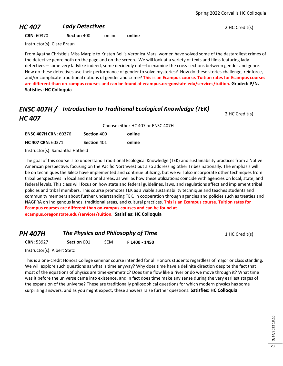#### **HC 407 Lady Detectives 2 HC Credit(s)**

#### **CRN**: 60370 **Section** 400 online **online**

Instructor(s): Clare Braun

From Agatha Christie's Miss Marple to Kristen Bell's Veronica Mars, women have solved some of the dastardliest crimes of the detective genre both on the page and on the screen. We will look at a variety of texts and films featuring lady detectives—some very ladylike indeed, some decidedly not—to examine the cross-sections between gender and genre. How do these detectives use their performance of gender to solve mysteries? How do these stories challenge, reinforce, and/or complicate traditional notions of gender and crime? **This is an Ecampus course. Tuition rates for Ecampus courses are different than on-campus courses and can be found at ecampus.oregonstate.edu/services/tuition. Graded: P/N. Satisfies: HC Colloquia**

Choose either HC 407 or ENSC 407H

# *ENSC 407H / Introduction to Traditional Ecological Knowledge (TEK) HC 407*

| <b>ENSC 407H CRN: 60376</b> | Section 400 | online |
|-----------------------------|-------------|--------|
| <b>HC 407 CRN: 60371</b>    | Section 401 | online |

Instructor(s): Samantha Hatfield

The goal of this course is to understand Traditional Ecological Knowledge (TEK) and sustainability practices from a Native American perspective, focusing on the Pacific Northwest but also addressing other Tribes nationally. The emphasis will be on techniques the Siletz have implemented and continue utilizing, but we will also incorporate other techniques from tribal perspectives in local and national areas, as well as how these utilizations coincide with agencies on local, state, and federal levels. This class will focus on how state and federal guidelines, laws, and regulations affect and implement tribal policies and tribal members. This course promotes TEK as a viable sustainability technique and teaches students and community members about further understanding TEK, in cooperation through agencies and policies such as treaties and NAGPRA on Indigenous lands, traditional areas, and cultural practices. **This is an Ecampus course. Tuition rates for Ecampus courses are different than on-campus courses and can be found at ecampus.oregonstate.edu/services/tuition. Satisfies: HC Colloquia**

#### **PH 407H The Physics and Philosophy of Time** 1 HC Credit(s)

2 HC Credit(s)

**CRN**: 53927 **Section** 001 SEM **F 1400 - 1450**

Instructor(s): Albert Stetz

This is a one-credit Honors College seminar course intended for all Honors students regardless of major or class standing. We will explore such questions as what is time anyway? Why does time have a definite direction despite the fact that most of the equations of physics are time-symmetric? Does time flow like a river or do we move through it? What time was it before the universe came into existence, and in fact does time make any sense during the very earliest stages of the expansion of the universe? These are traditionally philosophical questions for which modern physics has some surprising answers, and as you might expect, these answers raise further questions. **Satisfies: HC Colloquia**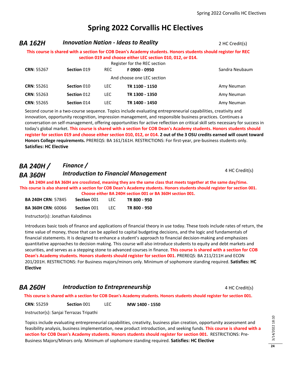# **Spring 2022 Corvallis HC Electives**

#### *BA 162H* **Innovation Nation - Ideas to Reality 18 AM 2 AM 2 HC Credit(s)**

#### **This course is shared with a section for COB Dean's Academy students. Honors students should register for REC section 019 and choose either LEC section 010, 012, or 014.**

|                   |             |      | Register for the REC section |                |
|-------------------|-------------|------|------------------------------|----------------|
| <b>CRN: 55267</b> | Section 019 | REC. | F0900 - 0950                 | Sandra Neubaum |
|                   |             |      | And choose one LEC section   |                |
| <b>CRN: 55261</b> | Section 010 | LEC. | TR 1100 - 1150               | Amy Neuman     |
| <b>CRN: 55263</b> | Section 012 | LEC. | TR 1300 - 1350               | Amy Neuman     |
| <b>CRN: 55265</b> | Section 014 | LEC. | TR 1400 - 1450               | Amy Neuman     |

Second course in a two-course sequence. Topics include evaluating entrepreneurial capabilities, creativity and innovation, opportunity recognition, impression management, and responsible business practices. Continues a conversation on self-management, offering opportunities for active reflection on critical skill sets necessary for success in today's global market. **This course is shared with a section for COB Dean's Academy students. Honors students should register for section 019 and choose either section 010, 012, or 014. 2 out of the 3 OSU credits earned will count toward Honors College requirements.** PREREQS: BA 161/161H. RESTRICTIONS: For first-year, pre-business students only. **Satisfies: HC Elective**

#### *BA 240H / BA 360H Finance /*  **Introduction to Financial Management** 4 HC Credit(s)

**BA 240H and BA 360H are crosslisted, meaning they are the same class that meets together at the same day/time. This course is also shared with a section for COB Dean's Academy students. Honors students should register for section 001. Choose either BA 240H section 001 or BA 360H section 001.**

| <b>BA 240H CRN: 57845</b> | Section 001 | IFC. | TR 800 - 950 |
|---------------------------|-------------|------|--------------|
| <b>BA 360H CRN: 60066</b> | Section 001 | TEC. | TR 800 - 950 |

Instructor(s): Jonathan Kalodimos

Introduces basic tools of finance and applications of financial theory in use today. These tools include rates of return, the time value of money, those that can be applied to capital budgeting decisions, and the logic and fundamentals of financial statements. It is designed to enhance a student's approach to financial decision-making and emphasizes quantitative approaches to decision making. This course will also introduce students to equity and debt markets and securities, and serves as a stepping stone to advanced courses in finance. **This course is shared with a section for COB Dean's Academy students. Honors students should register for section 001.** PREREQS: BA 211/211H and ECON 201/201H. RESTRICTIONS: For Business majors/minors only. Minimum of sophomore standing required. **Satisfies: HC Elective**

### **BA 260H Introduction to Entrepreneurship A HC Credit(s)** 4 HC Credit(s)

**This course is shared with a section for COB Dean's Academy students. Honors students should register for section 001.**

**CRN**: 55259 **Section** 001 LEC **MW 1400 - 1550**

Instructor(s): Sanjai Terrazas Tripathi

Topics include evaluating entrepreneurial capabilities, creativity, business plan creation, opportunity assessment and feasibility analysis, business implementation, new product introduction, and seeking funds. **This course is shared with a section for COB Dean's Academy students. Honors students should register for section 001.** RESTRICTIONS: Pre-Business Majors/Minors only. Minimum of sophomore standing required. **Satisfies: HC Elective**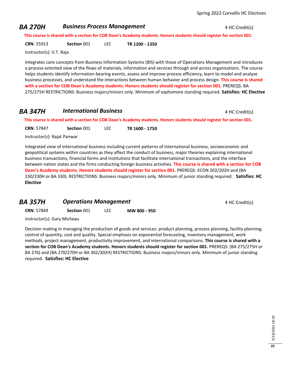#### **BA 270H Business Process Management A ALC Credit(s) 4 HC Credit(s)**

**This course is shared with a section for COB Dean's Academy students. Honors students should register for section 001.**

**CRN**: 55913 **Section** 001 LEC **TR 1200 - 1350**

Instructor(s): V.T. Raja

Integrates core concepts from Business Information Systems (BIS) with those of Operations Management and introduces a process-oriented view of the flows of materials, information and services through and across organizations. The course helps students identify information-bearing events, assess and improve process efficiency, learn to model and analyze business processes, and understand the interactions between human behavior and process design. **This course is shared with a section for COB Dean's Academy students. Honors students should register for section 001.** PREREQS: BA 275/275H RESTRICTIONS: Business majors/minors only. Minimum of sophomore standing required. **Satisfies: HC Elective**

#### **BA 347H International Business 1 AM <b>4** HC Credit(s)

**This course is shared with a section for COB Dean's Academy students. Honors students should register for section 001.**

**CRN**: 57847 **Section** 001 LEC **TR 1600 - 1750**

Instructor(s): Rajat Panwar

Integrated view of international business including current patterns of international business, socioeconomic and geopolitical systems within countries as they affect the conduct of business, major theories explaining international business transactions, financial forms and institutions that facilitate international transactions, and the interface between nation states and the firms conducting foreign business activities. **This course is shared with a section for COB Dean's Academy students. Honors students should register for section 001.** PREREQS: ECON 202/202H and (BA 230/230H or BA 330). RESTRICTIONS: Business majors/minors only. Minimum of junior standing required. **Satisfies: HC Elective**

### **BA 357H Operations Management** 4 HC Credit(s)

**CRN**: 57849 **Section** 001 LEC **MW 800 - 950**

Instructor(s): Gary Micheau

Decision making in managing the production of goods and services: product planning, process planning, facility planning, control of quantity, cost and quality. Special emphasis on exponential forecasting, inventory management, work methods, project management, productivity improvement, and international comparisons. **This course is shared with a section for COB Dean's Academy students. Honors students should register for section 001.** PREREQS: (BA 275/275H or BA 276) and (BA 270/270H or BA 302/302H) RESTRICTIONS: Business majors/minors only. Minimum of junior standing required. **Satisfies: HC Elective**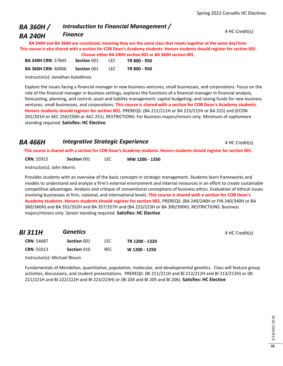#### *BA 360H / BA 240H Introduction to Financial Management /*  **Finance** 4 HC Credit(s)

**BA 240H and BA 360H are crosslisted, meaning they are the same class that meets together at the same day/time. This course is also shared with a section for COB Dean's Academy students. Honors students should register for section 001.**

|                           |             |         | Choose either BA 240H section 001 or BA 360H section 001. |
|---------------------------|-------------|---------|-----------------------------------------------------------|
| <b>BA 240H CRN: 57845</b> | Section 001 | - LEC.  | TR 800 - 950                                              |
| <b>BA 360H CRN: 60066</b> | Section 001 | - LEC - | TR 800 - 950                                              |

Instructor(s): Jonathan Kalodimos

Explore the issues facing a financial manager in new business ventures, small businesses, and corporations. Focus on the role of the financial manager in business settings, explores the functions of a financial manager in financial analysis, forecasting, planning, and control; asset and liability management; capital budgeting; and raising funds for new business ventures, small businesses, and corporations. **This course is shared with a section for COB Dean's Academy students. Honors students should register for section 001.** PREREQS: (BA 211/211H or BA 215/215H or BA 315) and (ECON 201/201H or AEC 250/250H or AEC 251). RESTRICTIONS: For Business majors/minors only. Minimum of sophomore standing required. **Satisfies: HC Elective**

| BA 466H | Integrative Strategic Experience |                                                                                                                        | 4 HC Credit(s) |
|---------|----------------------------------|------------------------------------------------------------------------------------------------------------------------|----------------|
|         |                                  | This course is shared with a section for COB Dean's Academy students. Honors students should register for section 001. |                |
|         |                                  |                                                                                                                        |                |

**CRN**: 55915 **Section** 001 LEC **MW 1200 - 1350**

Instructor(s): John Morris

Provides students with an overview of the basic concepts in strategic management. Students learn frameworks and models to understand and analyze a firm's external environment and internal resources in an effort to create sustainable competitive advantages. Analysis and critique of conventional conceptions of business ethics. Evaluation of ethical issues involving businesses at firm, national, and international levels. **This course is shared with a section for COB Dean's Academy students. Honors students should register for section 001.** PREREQS: (BA 240/240H or FIN 340/340H or BA 360/360H) and BA 352/352H and BA 357/357H and (BA 223/223H or BA 390/390H). RESTRICTIONS: Business majors/minors only. Senior standing required. **Satisfies: HC Elective**

# *BI 311H* **Genetics 4** HC Credit(s)

| <b>CRN: 54687</b> | Section 001 | TEC.       | TR 1200 - 1320 |
|-------------------|-------------|------------|----------------|
| <b>CRN: 55013</b> | Section 010 | <b>RFC</b> | W 1200 - 1250  |

Instructor(s): Michael Blouin

Fundamentals of Mendelian, quantitative, population, molecular, and developmental genetics. Class will feature group activities, discussions, and student presentations. PREREQS: (BI 211/211H and BI 212/212H and BI 213/213H) or (BI 221/221H and BI 222/222H and BI 223/223H) or (BI 204 and BI 205 and BI 206). **Satisfies: HC Elective**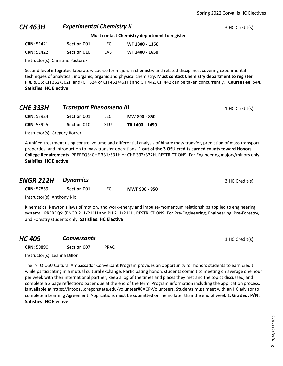#### **CH 463H Experimental Chemistry II CH 463H Experimental Chemistry II 1 Experimental Chemistry II**

**Must contact Chemistry department to register**

| <b>CRN: 51421</b> | Section 001 | LEC  | WF 1300 - 1350 |
|-------------------|-------------|------|----------------|
| <b>CRN: 51422</b> | Section 010 | I AB | WF 1400 - 1650 |

Instructor(s): Christine Pastorek

Second-level integrated laboratory course for majors in chemistry and related disciplines, covering experimental techniques of analytical, inorganic, organic and physical chemistry. **Must contact Chemistry department to register.** PREREQS: CH 362/362H and (CH 324 or CH 461/461H) and CH 442. CH 442 can be taken concurrently. **Course Fee: \$44. Satisfies: HC Elective**

| <b>CHE 333H</b>   | <b>Transport Phenomena III</b> |            | 1 HC Credit(s) |  |
|-------------------|--------------------------------|------------|----------------|--|
| <b>CRN: 53924</b> | Section 001                    | TEC.       | MW 800 - 850   |  |
| <b>CRN: 53925</b> | Section 010                    | <b>STU</b> | TR 1400 - 1450 |  |

Instructor(s): Gregory Rorrer

A unified treatment using control volume and differential analysis of binary mass transfer, prediction of mass transport properties, and introduction to mass transfer operations. **1 out of the 3 OSU credits earned counts toward Honors College Requirements.** PREREQS: CHE 331/331H or CHE 332/332H. RESTRICTIONS: For Engineering majors/minors only. **Satisfies: HC Elective**

| <b>ENGR 212H Dynamics</b> |             |               | 3 HC Credit(s) |
|---------------------------|-------------|---------------|----------------|
| <b>CRN: 57859</b>         | Section 001 | MWF 900 - 950 |                |

Instructor(s): Anthony Nix

Kinematics, Newton's laws of motion, and work-energy and impulse-momentum relationships applied to engineering systems. PREREQS: (ENGR 211/211H and PH 211/211H. RESTRICTIONS: For Pre-Engineering, Engineering, Pre-Forestry, and Forestry students only. **Satisfies: HC Elective**

| <b>HC 409</b> | <b>Conversants</b> | 1 HC Credit(s) |
|---------------|--------------------|----------------|
|---------------|--------------------|----------------|

**CRN**: 50890 **Section** 007 PRAC

Instructor(s): Leanna Dillon

The INTO OSU Cultural Ambassador Conversant Program provides an opportunity for honors students to earn credit while participating in a mutual cultural exchange. Participating honors students commit to meeting on average one hour per week with their international partner, keep a log of the times and places they met and the topics discussed, and complete a 2 page reflections paper due at the end of the term. Program information including the application process, is available at https://intoosu.oregonstate.edu/volunteer#CACP-Volunteers. Students must meet with an HC advisor to complete a Learning Agreement. Applications must be submitted online no later than the end of week 1. **Graded: P/N. Satisfies: HC Elective**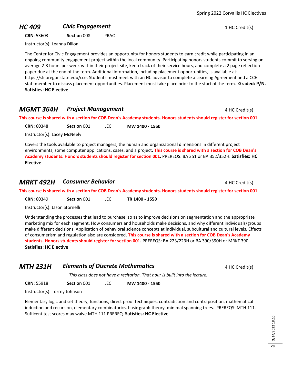#### **HC 409 Civic Engagement Civic Engagement** 1 HC Credit(s)

**CRN**: 53603 **Section** 008 PRAC

Instructor(s): Leanna Dillon

The Center for Civic Engagement provides an opportunity for honors students to earn credit while participating in an ongoing community engagement project within the local community. Participating honors students commit to serving on average 2-3 hours per week within their project site, keep track of their service hours, and complete a 2 page reflection paper due at the end of the term. Additional information, including placement opportunities, is available at: https://sli.oregonstate.edu/cce. Students must meet with an HC advisor to complete a Learning Agreement and a CCE staff member to discuss placement opportunities. Placement must take place prior to the start of the term. **Graded: P/N. Satisfies: HC Elective**

**MGMT 364H Project Management ADD 14 HC Credit(s) This course is shared with a section for COB Dean's Academy students. Honors students should register for section 001**

**CRN**: 60348 **Section** 001 LEC **MW 1400 - 1550**

Instructor(s): Lacey McNeely

Covers the tools available to project managers, the human and organizational dimensions in different project environments, some computer applications, cases, and a project. **This course is shared with a section for COB Dean's Academy students. Honors students should register for section 001.** PREREQS: BA 351 or BA 352/352H. **Satisfies: HC Elective**

#### **MRKT 492H Consumer Behavior According to the Consumer Behavior** 4 HC Credit(s)

**This course is shared with a section for COB Dean's Academy students. Honors students should register for section 001**

**CRN**: 60349 **Section** 001 LEC **TR 1400 - 1550**

Instructor(s): Jason Stornelli

Understanding the processes that lead to purchase, so as to improve decisions on segmentation and the appropriate marketing mix for each segment. How consumers and households make decisions, and why different individuals/groups make different decisions. Application of behavioral science concepts at individual, subcultural and cultural levels. Effects of consumerism and regulation also are considered. **This course is shared with a section for COB Dean's Academy students. Honors students should register for section 001.** PREREQS: BA 223/223H or BA 390/390H or MRKT 390. **Satisfies: HC Elective**

#### **MTH 231H** *Elements of Discrete Mathematics* 4 HC Credit(s)

*This class does not have a recitation. That hour is built into the lecture.*

**CRN**: 55918 **Section** 001 LEC **MW 1400 - 1550**

Instructor(s): Torrey Johnson

Elementary logic and set theory, functions, direct proof techniques, contradiction and contraposition, mathematical induction and recursion, elementary combinatorics, basic graph theory, minimal spanning trees. PREREQS: MTH 111. Sufficent test scores may waive MTH 111 PREREQ. **Satisfies: HC Elective**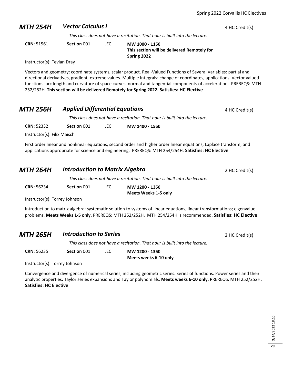#### **MTH 254H** *Vector Calculus I* 4 HC Credit(s)

*This class does not have a recitation. That hour is built into the lecture.*

| <b>CRN: 51561</b> | Section 001 | LEC- | MW 1000 - 1150                              |
|-------------------|-------------|------|---------------------------------------------|
|                   |             |      | This section will be delivered Remotely for |
|                   |             |      | Spring 2022                                 |

Instructor(s): Tevian Dray

Vectors and geometry: coordinate systems, scalar product. Real-Valued Functions of Several Variables: partial and directional derivatives, gradient, extreme values. Multiple Integrals: change of coordinates, applications. Vector valuedfunctions: arc length and curvature of space curves, normal and tangential components of acceleration. PREREQS: MTH 252/252H. **This section will be delivered Remotely for Spring 2022. Satisfies: HC Elective**

#### **MTH 256H Applied Differential Equations 4 HC Credit(s)**

*This class does not have a recitation. That hour is built into the lecture.*

**CRN**: 52332 **Section** 001 LEC **MW 1400 - 1550**

Instructor(s): Filix Maisch

First order linear and nonlinear equations, second order and higher order linear equations, Laplace transform, and applications appropriate for science and engineering. PREREQS: MTH 254/254H. **Satisfies: HC Elective**

| <b>MTH 264H</b> | <b>Introduction to Matrix Algebra</b> |  |                                                                             | 2 HC Credit(s) |
|-----------------|---------------------------------------|--|-----------------------------------------------------------------------------|----------------|
|                 |                                       |  | This class does not have a recitation. That hour is built into the lecture. |                |
| CDM. ECDDA      | $C_{\text{right}}$ $0.01$             |  | $M$ $M$ $A$ $D$ $A$ $A$ $D$ $F$ $A$                                         |                |

| <b>CRN: 56234</b> | Section 001 | LEC | MW 1200 - 1350              |
|-------------------|-------------|-----|-----------------------------|
|                   |             |     | <b>Meets Weeks 1-5 only</b> |

Instructor(s): Torrey Johnson

Introduction to matrix algebra: systematic solution to systems of linear equations; linear transformations; eigenvalue problems. **Meets Weeks 1-5 only.** PREREQS: MTH 252/252H. MTH 254/254H is recommended. **Satisfies: HC Elective**

#### **MTH 265H Introduction to Series** 2 HC Credit(s)

*This class does not have a recitation. That hour is built into the lecture.*

| <b>CRN: 56235</b> | Section 001 | LEC | MW 1200 - 1350        |
|-------------------|-------------|-----|-----------------------|
|                   |             |     | Meets weeks 6-10 only |

Instructor(s): Torrey Johnson

Convergence and divergence of numerical series, including geometric series. Series of functions. Power series and their analytic properties. Taylor series expansions and Taylor polynomials. **Meets weeks 6-10 only.** PREREQS: MTH 252/252H. **Satisfies: HC Elective**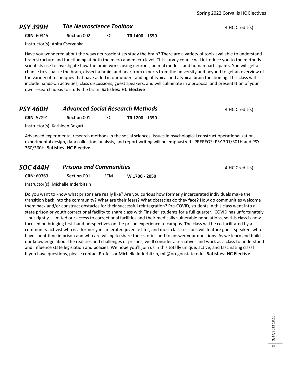#### **PSY 399H The Neuroscience Toolbox** *A HC Credit(s)* 4 HC Credit(s)

#### **CRN**: 60345 **Section** 002 LEC **TR 1400 - 1550**

Instructor(s): Anita Cservenka

Have you wondered about the ways neuroscientists study the brain? There are a variety of tools available to understand brain structure and functioning at both the micro and macro level. This survey course will introduce you to the methods scientists use to investigate how the brain works using neurons, animal models, and human participants. You will get a chance to visualize the brain, dissect a brain, and hear from experts from the university and beyond to get an overview of the variety of techniques that have aided in our understanding of typical and atypical brain functioning. This class will include hands-on activities, class discussions, guest speakers, and will culminate in a proposal and presentation of your own research ideas to study the brain. **Satisfies: HC Elective**

# **PSY 460H** *Advanced Social Research Methods* **4 HC Credit(s)**

**CRN**: 57891 **Section** 001 LEC **TR 1200 - 1350**

Instructor(s): Kathleen Bogart

Advanced experimental research methods in the social sciences. Issues in psychological construct operationalization, experimental design, data collection, analysis, and report writing will be emphasized. PREREQS: PSY 301/301H and PSY 360/360H. **Satisfies: HC Elective**

# **SOC 444H Prisons and Communities A ADD 4 HC Credit(s) 4 HC Credit(s)**

| <b>CRN: 60363</b> | Section 001 | <b>SEM</b> | W 1700 - 2050 |
|-------------------|-------------|------------|---------------|
|                   |             |            |               |

Instructor(s): Michelle Inderbitzin

Do you want to know what prisons are really like? Are you curious how formerly incarcerated individuals make the transition back into the community? What are their fears? What obstacles do they face? How do communities welcome them back and/or construct obstacles for their successful reintegration? Pre-COVID, students in this class went into a state prison or youth correctional facility to share class with "inside" students for a full quarter. COVID has unfortunately – but rightly – limited our access to correctional facilities and their medically vulnerable populations, so this class is now focused on bringing first-hand perspectives on the prison experience to campus. The class will be co-facilitated by a community activist who is a formerly incarcerated juvenile lifer, and most class sessions will feature guest speakers who have spent time in prison and who are willing to share their stories and to answer your questions. As we learn and build our knowledge about the realities and challenges of prisons, we'll consider alternatives and work as a class to understand and influence state legislation and policies. We hope you'll join us in this totally unique, active, and fascinating class! If you have questions, please contact Professor Michelle Inderbitzin, mli@oregonstate.edu. **Satisfies: HC Elective**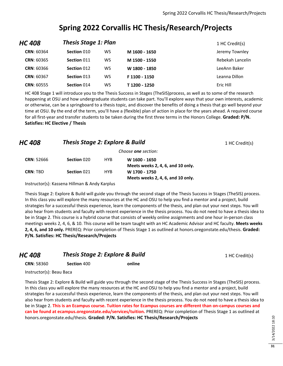# **Spring 2022 Corvallis HC Thesis/Research/Projects**

| <b>HC 408</b>     | <b>Thesis Stage 1: Plan</b> |    |               | 1 HC Credit(s)   |
|-------------------|-----------------------------|----|---------------|------------------|
| <b>CRN: 60364</b> | Section 010                 | ws | M 1600 - 1650 | Jeremy Townley   |
| <b>CRN: 60365</b> | Section 011                 | WS | M 1500 - 1550 | Rebekah Lancelin |
| <b>CRN: 60366</b> | Section 012                 | WS | W 1800 - 1850 | LeeAnn Baker     |
| CRN: 60367        | Section 013                 | ws | F 1100 - 1150 | Leanna Dillon    |
| <b>CRN: 60555</b> | Section 014                 | ws | T 1200 - 1250 | Eric Hill        |

HC 408 Stage 1 will introduce you to the Thesis Success in Stages (TheSIS)process, as well as to some of the research happening at OSU and how undergraduate students can take part. You'll explore ways that your own interests, academic or otherwise, can be a springboard to a thesis topic, and discover the benefits of doing a thesis that go well beyond your time at OSU. By the end of the term, you'll have a (flexible) plan of action in place for the years ahead. A required course for all first-year and transfer students to be taken during the first three terms in the Honors College. **Graded: P/N. Satisfies: HC Elective / Thesis**

| <b>HC 408</b>     | <b>Thesis Stage 2: Explore &amp; Build</b> |            |                                   | 1 HC Credit(s) |
|-------------------|--------------------------------------------|------------|-----------------------------------|----------------|
|                   |                                            |            | Choose <b>one</b> section:        |                |
| <b>CRN: 52666</b> | Section 020                                | <b>HYB</b> | W 1600 - 1650                     |                |
|                   |                                            |            | Meets weeks 2, 4, 6, and 10 only. |                |
| <b>CRN: TBD</b>   | Section 021                                | <b>HYB</b> | W 1700 - 1750                     |                |
|                   |                                            |            | Meets weeks 2, 4, 6, and 10 only. |                |

Instructor(s): Kassena Hillman & Andy Karplus

Thesis Stage 2: Explore & Build will guide you through the second stage of the Thesis Success in Stages (TheSIS) process. In this class you will explore the many resources at the HC and OSU to help you find a mentor and a project, build strategies for a successful thesis experience, learn the components of the thesis, and plan out your next steps. You will also hear from students and faculty with recent experience in the thesis process. You do not need to have a thesis idea to be in Stage 2. This course is a hybrid course that consists of weekly online assignments and one hour in-person class meetings weeks 2, 4, 6, & 10. This course will be team taught with an HC Academic Advisor and HC faculty. **Meets weeks 2, 4, 6, and 10 only.** PREREQ: Prior completion of Thesis Stage 1 as outlined at honors.oregonstate.edu/thesis. **Graded: P/N. Satisfies: HC Thesis/Research/Projects**

| <b>HC 408</b>     | <b>Thesis Stage 2: Explore &amp; Build</b> |        | 1 HC Credit(s) |
|-------------------|--------------------------------------------|--------|----------------|
| <b>CRN: 58360</b> | Section 400                                | online |                |

Instructor(s): Beau Baca

Thesis Stage 2: Explore & Build will guide you through the second stage of the Thesis Success in Stages (TheSIS) process. In this class you will explore the many resources at the HC and OSU to help you find a mentor and a project, build strategies for a successful thesis experience, learn the components of the thesis, and plan out your next steps. You will also hear from students and faculty with recent experience in the thesis process. You do not need to have a thesis idea to be in Stage 2. **This is an Ecampus course. Tuition rates for Ecampus courses are different than on-campus courses and can be found at ecampus.oregonstate.edu/services/tuition.** PREREQ: Prior completion of Thesis Stage 1 as outlined at honors.oregonstate.edu/thesis. **Graded: P/N. Satisfies: HC Thesis/Research/Projects**